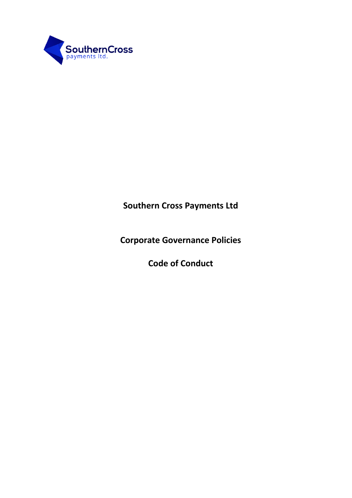

**Southern Cross Payments Ltd**

**Corporate Governance Policies**

**Code of Conduct**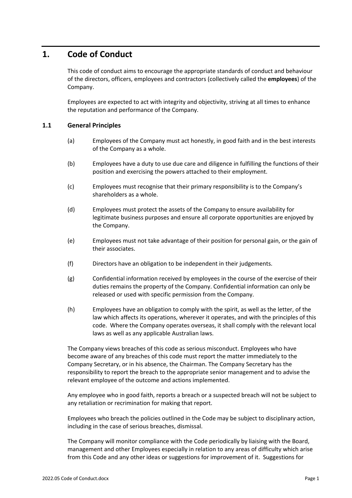## **1. Code of Conduct**

This code of conduct aims to encourage the appropriate standards of conduct and behaviour of the directors, officers, employees and contractors (collectively called the **employees**) of the Company.

Employees are expected to act with integrity and objectivity, striving at all times to enhance the reputation and performance of the Company.

## **1.1 General Principles**

- (a) Employees of the Company must act honestly, in good faith and in the best interests of the Company as a whole.
- (b) Employees have a duty to use due care and diligence in fulfilling the functions of their position and exercising the powers attached to their employment.
- (c) Employees must recognise that their primary responsibility is to the Company's shareholders as a whole.
- (d) Employees must protect the assets of the Company to ensure availability for legitimate business purposes and ensure all corporate opportunities are enjoyed by the Company.
- (e) Employees must not take advantage of their position for personal gain, or the gain of their associates.
- (f) Directors have an obligation to be independent in their judgements.
- (g) Confidential information received by employees in the course of the exercise of their duties remains the property of the Company. Confidential information can only be released or used with specific permission from the Company.
- (h) Employees have an obligation to comply with the spirit, as well as the letter, of the law which affects its operations, wherever it operates, and with the principles of this code. Where the Company operates overseas, it shall comply with the relevant local laws as well as any applicable Australian laws.

The Company views breaches of this code as serious misconduct. Employees who have become aware of any breaches of this code must report the matter immediately to the Company Secretary, or in his absence, the Chairman. The Company Secretary has the responsibility to report the breach to the appropriate senior management and to advise the relevant employee of the outcome and actions implemented.

Any employee who in good faith, reports a breach or a suspected breach will not be subject to any retaliation or recrimination for making that report.

Employees who breach the policies outlined in the Code may be subject to disciplinary action, including in the case of serious breaches, dismissal.

The Company will monitor compliance with the Code periodically by liaising with the Board, management and other Employees especially in relation to any areas of difficulty which arise from this Code and any other ideas or suggestions for improvement of it. Suggestions for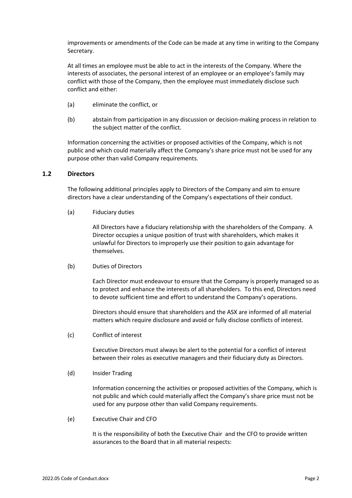improvements or amendments of the Code can be made at any time in writing to the Company Secretary.

At all times an employee must be able to act in the interests of the Company. Where the interests of associates, the personal interest of an employee or an employee's family may conflict with those of the Company, then the employee must immediately disclose such conflict and either:

- (a) eliminate the conflict, or
- (b) abstain from participation in any discussion or decision-making process in relation to the subject matter of the conflict.

Information concerning the activities or proposed activities of the Company, which is not public and which could materially affect the Company's share price must not be used for any purpose other than valid Company requirements.

## **1.2 Directors**

The following additional principles apply to Directors of the Company and aim to ensure directors have a clear understanding of the Company's expectations of their conduct.

(a) Fiduciary duties

All Directors have a fiduciary relationship with the shareholders of the Company. A Director occupies a unique position of trust with shareholders, which makes it unlawful for Directors to improperly use their position to gain advantage for themselves.

(b) Duties of Directors

Each Director must endeavour to ensure that the Company is properly managed so as to protect and enhance the interests of all shareholders. To this end, Directors need to devote sufficient time and effort to understand the Company's operations.

Directors should ensure that shareholders and the ASX are informed of all material matters which require disclosure and avoid or fully disclose conflicts of interest.

(c) Conflict of interest

Executive Directors must always be alert to the potential for a conflict of interest between their roles as executive managers and their fiduciary duty as Directors.

(d) Insider Trading

Information concerning the activities or proposed activities of the Company, which is not public and which could materially affect the Company's share price must not be used for any purpose other than valid Company requirements.

(e) Executive Chair and CFO

It is the responsibility of both the Executive Chair and the CFO to provide written assurances to the Board that in all material respects: